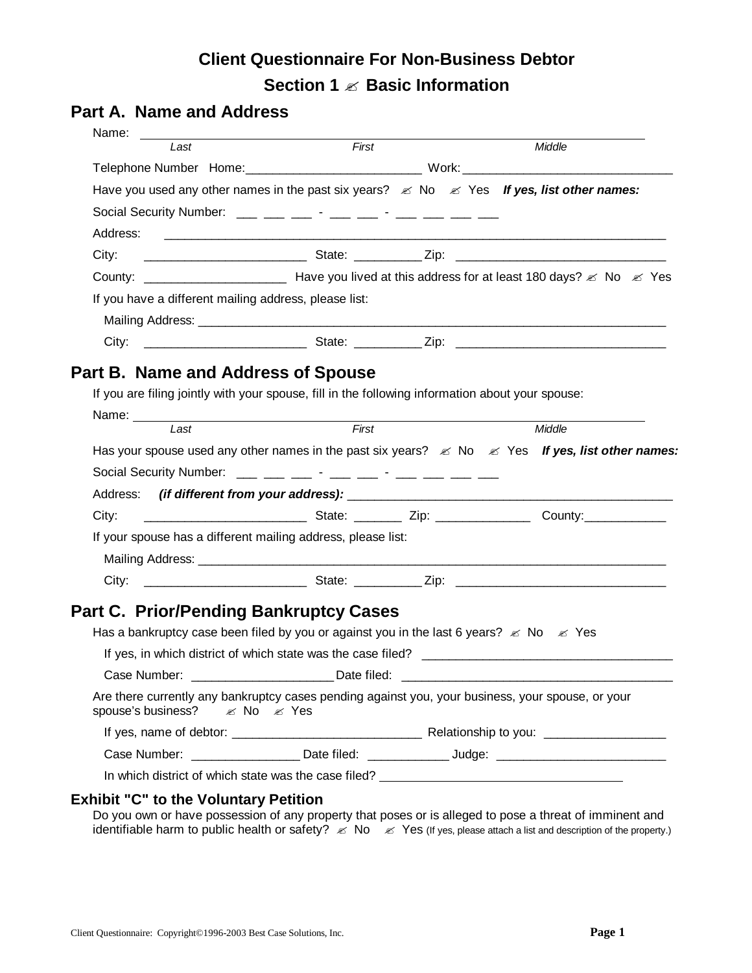# **Client Questionnaire For Non-Business Debtor Section 1 ? Basic Information**

## **Part A. Name and Address**

| Last                                                                                                                                                                                                                                                                                                           | First<br>Have you used any other names in the past six years? $\&$ No $\&$ Yes If yes, list other names:                                                                                                                                                                                                       | Middle                                                                                                                   |
|----------------------------------------------------------------------------------------------------------------------------------------------------------------------------------------------------------------------------------------------------------------------------------------------------------------|----------------------------------------------------------------------------------------------------------------------------------------------------------------------------------------------------------------------------------------------------------------------------------------------------------------|--------------------------------------------------------------------------------------------------------------------------|
|                                                                                                                                                                                                                                                                                                                |                                                                                                                                                                                                                                                                                                                |                                                                                                                          |
|                                                                                                                                                                                                                                                                                                                |                                                                                                                                                                                                                                                                                                                |                                                                                                                          |
|                                                                                                                                                                                                                                                                                                                |                                                                                                                                                                                                                                                                                                                |                                                                                                                          |
| Social Security Number: $\frac{1}{1}$ $\frac{1}{1}$ $\frac{1}{1}$ $\frac{1}{1}$ $\frac{1}{1}$ $\frac{1}{1}$ $\frac{1}{1}$ $\frac{1}{1}$ $\frac{1}{1}$ $\frac{1}{1}$ $\frac{1}{1}$ $\frac{1}{1}$ $\frac{1}{1}$ $\frac{1}{1}$ $\frac{1}{1}$ $\frac{1}{1}$ $\frac{1}{1}$ $\frac{1}{1}$ $\frac{1}{1}$ $\frac{1}{1$ |                                                                                                                                                                                                                                                                                                                |                                                                                                                          |
| Address:                                                                                                                                                                                                                                                                                                       |                                                                                                                                                                                                                                                                                                                |                                                                                                                          |
| City:                                                                                                                                                                                                                                                                                                          |                                                                                                                                                                                                                                                                                                                |                                                                                                                          |
|                                                                                                                                                                                                                                                                                                                |                                                                                                                                                                                                                                                                                                                |                                                                                                                          |
| If you have a different mailing address, please list:                                                                                                                                                                                                                                                          |                                                                                                                                                                                                                                                                                                                |                                                                                                                          |
|                                                                                                                                                                                                                                                                                                                |                                                                                                                                                                                                                                                                                                                |                                                                                                                          |
| City:                                                                                                                                                                                                                                                                                                          |                                                                                                                                                                                                                                                                                                                |                                                                                                                          |
|                                                                                                                                                                                                                                                                                                                |                                                                                                                                                                                                                                                                                                                |                                                                                                                          |
| Part B. Name and Address of Spouse                                                                                                                                                                                                                                                                             |                                                                                                                                                                                                                                                                                                                |                                                                                                                          |
|                                                                                                                                                                                                                                                                                                                | If you are filing jointly with your spouse, fill in the following information about your spouse:                                                                                                                                                                                                               |                                                                                                                          |
| l ast                                                                                                                                                                                                                                                                                                          | First                                                                                                                                                                                                                                                                                                          | Middle                                                                                                                   |
|                                                                                                                                                                                                                                                                                                                |                                                                                                                                                                                                                                                                                                                | Has your spouse used any other names in the past six years? $\mathscr{L}$ No $\mathscr{L}$ Yes If yes, list other names: |
|                                                                                                                                                                                                                                                                                                                | Social Security Number: $\frac{1}{1}$ $\frac{1}{1}$ $\frac{1}{1}$ $\frac{1}{1}$ $\frac{1}{1}$ $\frac{1}{1}$ $\frac{1}{1}$ $\frac{1}{1}$ $\frac{1}{1}$ $\frac{1}{1}$ $\frac{1}{1}$ $\frac{1}{1}$ $\frac{1}{1}$ $\frac{1}{1}$ $\frac{1}{1}$ $\frac{1}{1}$ $\frac{1}{1}$ $\frac{1}{1}$ $\frac{1}{1}$ $\frac{1}{1$ |                                                                                                                          |
|                                                                                                                                                                                                                                                                                                                |                                                                                                                                                                                                                                                                                                                |                                                                                                                          |
| City:                                                                                                                                                                                                                                                                                                          |                                                                                                                                                                                                                                                                                                                |                                                                                                                          |
|                                                                                                                                                                                                                                                                                                                | If your spouse has a different mailing address, please list:                                                                                                                                                                                                                                                   |                                                                                                                          |
|                                                                                                                                                                                                                                                                                                                |                                                                                                                                                                                                                                                                                                                |                                                                                                                          |
|                                                                                                                                                                                                                                                                                                                |                                                                                                                                                                                                                                                                                                                |                                                                                                                          |
|                                                                                                                                                                                                                                                                                                                |                                                                                                                                                                                                                                                                                                                |                                                                                                                          |
|                                                                                                                                                                                                                                                                                                                | <b>Part C. Prior/Pending Bankruptcy Cases</b>                                                                                                                                                                                                                                                                  |                                                                                                                          |
|                                                                                                                                                                                                                                                                                                                | Has a bankruptcy case been filed by you or against you in the last 6 years? $\&$ No $\&$ Yes                                                                                                                                                                                                                   |                                                                                                                          |
|                                                                                                                                                                                                                                                                                                                |                                                                                                                                                                                                                                                                                                                |                                                                                                                          |
|                                                                                                                                                                                                                                                                                                                | Case Number: __________________________Date filed:                                                                                                                                                                                                                                                             |                                                                                                                          |
| spouse's business? EX No EX Yes                                                                                                                                                                                                                                                                                | Are there currently any bankruptcy cases pending against you, your business, your spouse, or your                                                                                                                                                                                                              |                                                                                                                          |
|                                                                                                                                                                                                                                                                                                                |                                                                                                                                                                                                                                                                                                                |                                                                                                                          |
|                                                                                                                                                                                                                                                                                                                |                                                                                                                                                                                                                                                                                                                | Case Number: ______________________Date filed: ________________Judge: _____________________________                      |
|                                                                                                                                                                                                                                                                                                                | In which district of which state was the case filed? ____________________________                                                                                                                                                                                                                              |                                                                                                                          |
| <b>Exhibit "C" to the Voluntary Petition</b>                                                                                                                                                                                                                                                                   |                                                                                                                                                                                                                                                                                                                |                                                                                                                          |

Do you own or have possession of any property that poses or is alleged to pose a threat of imminent and identifiable harm to public health or safety?  $\leq$  No  $\leq$  Yes (If yes, please attach a list and description of the property.)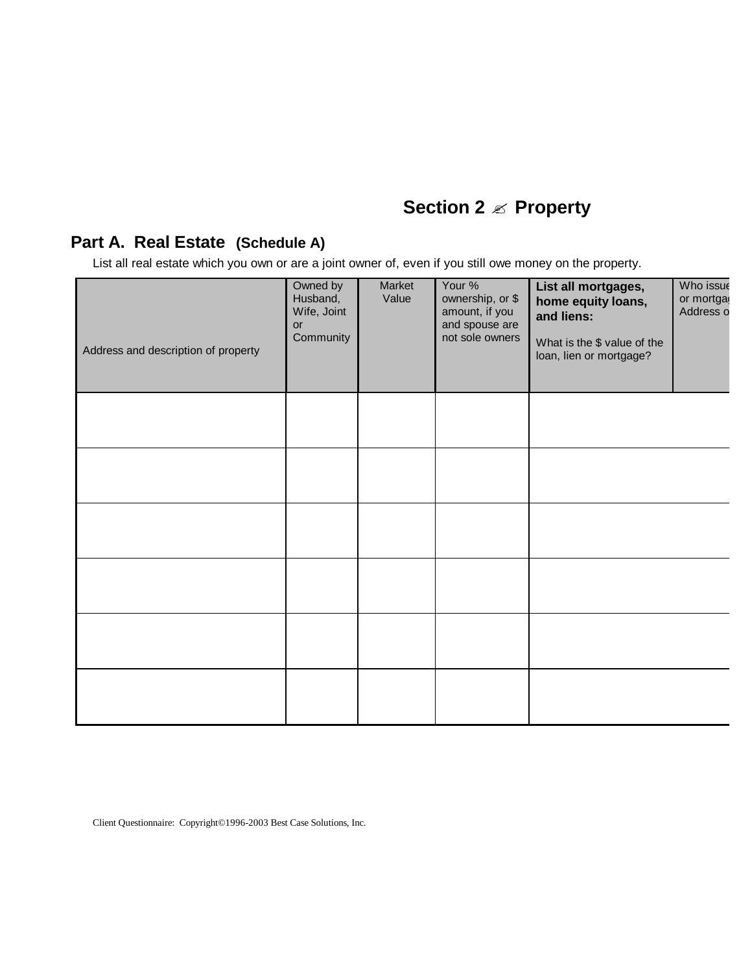# **Section 2 ? Property**

### **Part A. Real Estate (Schedule A)**

List all real estate which you own or are a joint owner of, even if you still owe money on the property.

| Address and description of property | Owned by<br>Husband,<br>Wife, Joint<br>$\mathsf{or}\,$<br>Community | Market<br>Value | Your %<br>ownership, or \$<br>amount, if you<br>and spouse are<br>not sole owners | List all mortgages,<br>home equity loans,<br>and liens:<br>What is the \$ value of the<br>loan, lien or mortgage? | Who issue<br>or mortga<br>Address o |
|-------------------------------------|---------------------------------------------------------------------|-----------------|-----------------------------------------------------------------------------------|-------------------------------------------------------------------------------------------------------------------|-------------------------------------|
|                                     |                                                                     |                 |                                                                                   |                                                                                                                   |                                     |
|                                     |                                                                     |                 |                                                                                   |                                                                                                                   |                                     |
|                                     |                                                                     |                 |                                                                                   |                                                                                                                   |                                     |
|                                     |                                                                     |                 |                                                                                   |                                                                                                                   |                                     |
|                                     |                                                                     |                 |                                                                                   |                                                                                                                   |                                     |
|                                     |                                                                     |                 |                                                                                   |                                                                                                                   |                                     |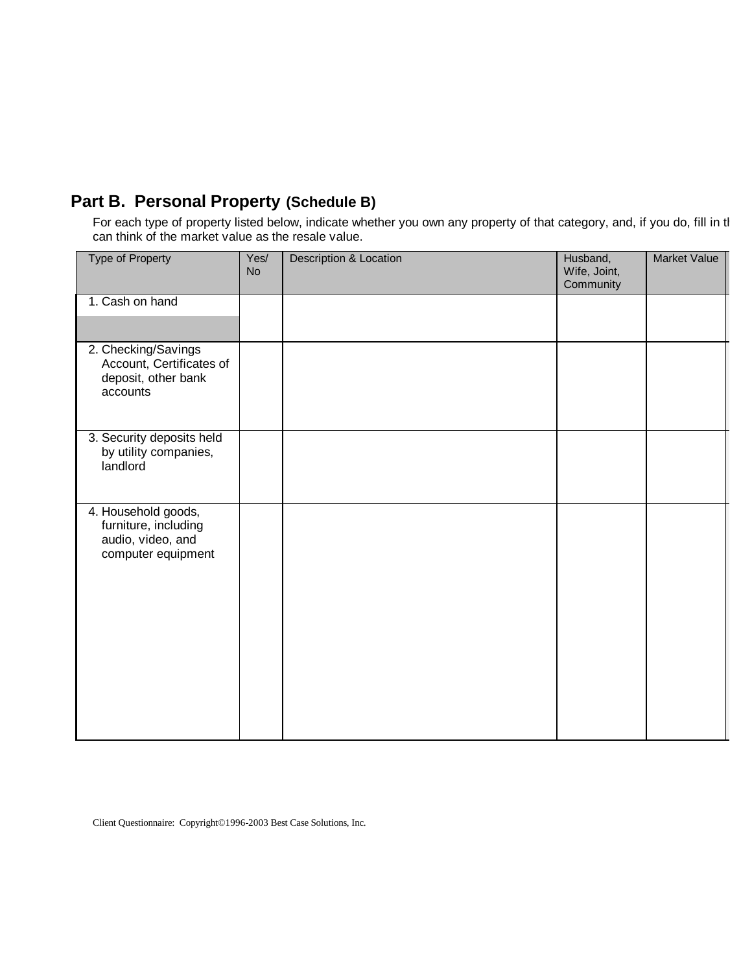# **Part B. Personal Property (Schedule B)**

For each type of property listed below, indicate whether you own any property of that category, and, if you do, fill in th can think of the market value as the resale value.

| <b>Type of Property</b>                                                                | Yes/<br><b>No</b> | <b>Description &amp; Location</b> | Husband,<br>Wife, Joint,<br>Community | <b>Market Value</b> |
|----------------------------------------------------------------------------------------|-------------------|-----------------------------------|---------------------------------------|---------------------|
| 1. Cash on hand                                                                        |                   |                                   |                                       |                     |
| 2. Checking/Savings<br>Account, Certificates of<br>deposit, other bank<br>accounts     |                   |                                   |                                       |                     |
| 3. Security deposits held<br>by utility companies,<br>landlord                         |                   |                                   |                                       |                     |
| 4. Household goods,<br>furniture, including<br>audio, video, and<br>computer equipment |                   |                                   |                                       |                     |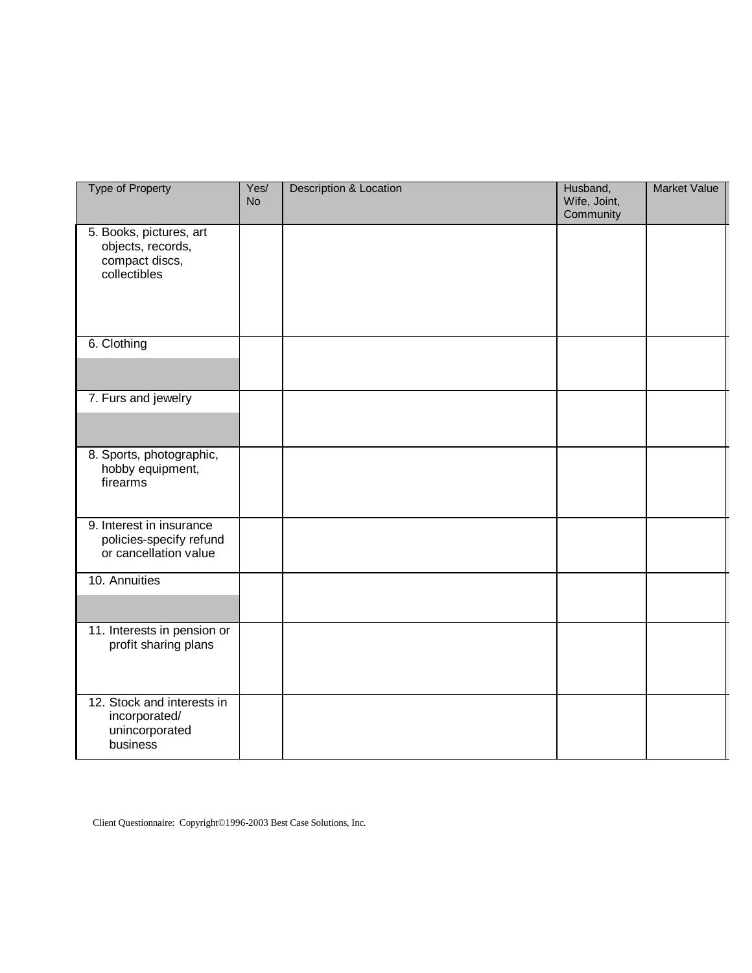| <b>Type of Property</b>                                                        | Yes/<br><b>No</b> | <b>Description &amp; Location</b> | Husband,<br>Wife, Joint,<br>Community | <b>Market Value</b> |
|--------------------------------------------------------------------------------|-------------------|-----------------------------------|---------------------------------------|---------------------|
| 5. Books, pictures, art<br>objects, records,<br>compact discs,<br>collectibles |                   |                                   |                                       |                     |
| 6. Clothing                                                                    |                   |                                   |                                       |                     |
| 7. Furs and jewelry                                                            |                   |                                   |                                       |                     |
| 8. Sports, photographic,<br>hobby equipment,<br>firearms                       |                   |                                   |                                       |                     |
| 9. Interest in insurance<br>policies-specify refund<br>or cancellation value   |                   |                                   |                                       |                     |
| 10. Annuities                                                                  |                   |                                   |                                       |                     |
| 11. Interests in pension or<br>profit sharing plans                            |                   |                                   |                                       |                     |
| 12. Stock and interests in<br>incorporated/<br>unincorporated<br>business      |                   |                                   |                                       |                     |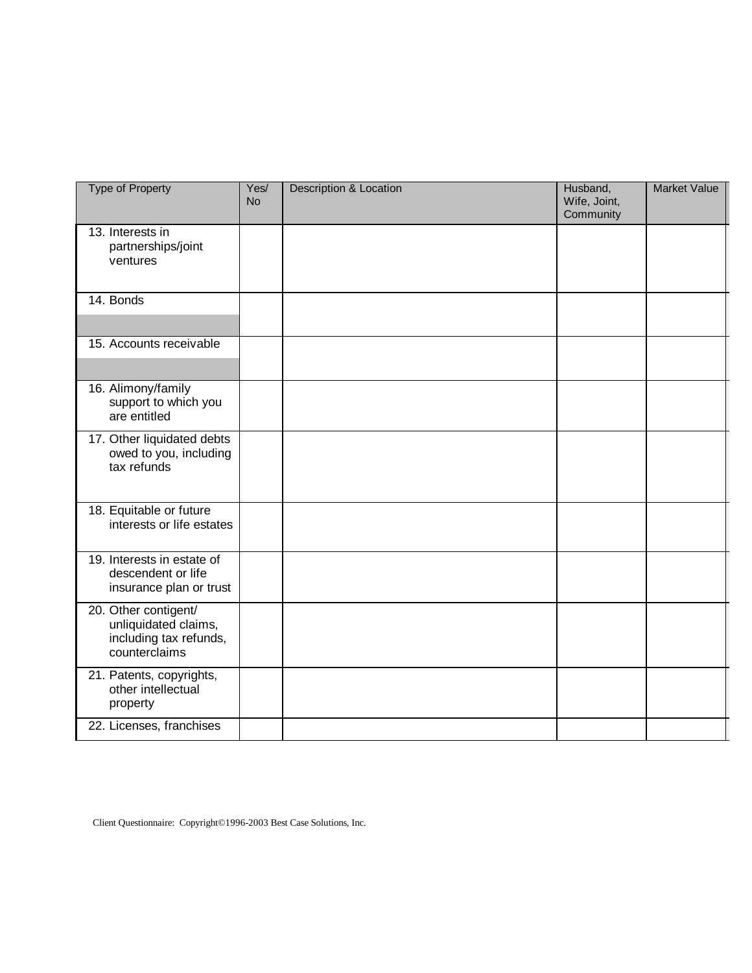| <b>Type of Property</b>                                                                 | Yes/<br><b>No</b> | <b>Description &amp; Location</b> | Husband,<br>Wife, Joint,<br>Community | <b>Market Value</b> |
|-----------------------------------------------------------------------------------------|-------------------|-----------------------------------|---------------------------------------|---------------------|
| 13. Interests in<br>partnerships/joint<br>ventures                                      |                   |                                   |                                       |                     |
| 14. Bonds                                                                               |                   |                                   |                                       |                     |
| 15. Accounts receivable                                                                 |                   |                                   |                                       |                     |
| 16. Alimony/family<br>support to which you<br>are entitled                              |                   |                                   |                                       |                     |
| 17. Other liquidated debts<br>owed to you, including<br>tax refunds                     |                   |                                   |                                       |                     |
| 18. Equitable or future<br>interests or life estates                                    |                   |                                   |                                       |                     |
| 19. Interests in estate of<br>descendent or life<br>insurance plan or trust             |                   |                                   |                                       |                     |
| 20. Other contigent/<br>unliquidated claims,<br>including tax refunds,<br>counterclaims |                   |                                   |                                       |                     |
| 21. Patents, copyrights,<br>other intellectual<br>property                              |                   |                                   |                                       |                     |
| 22. Licenses, franchises                                                                |                   |                                   |                                       |                     |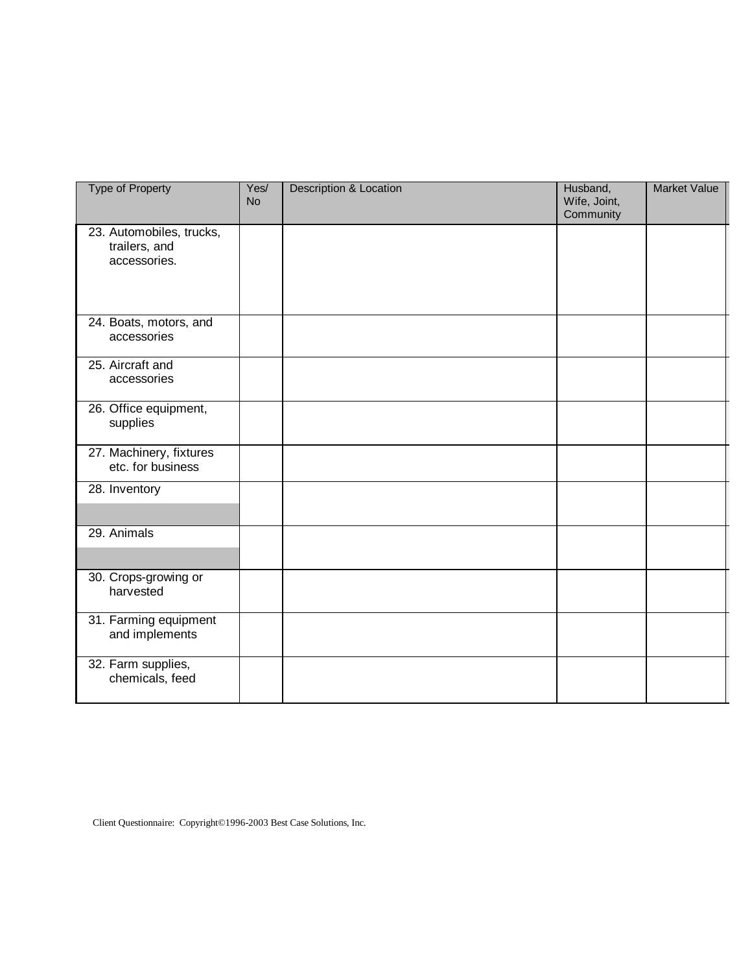| <b>Type of Property</b>                                   | Yes/<br><b>No</b> | <b>Description &amp; Location</b> | Husband,<br>Wife, Joint,<br>Community | <b>Market Value</b> |
|-----------------------------------------------------------|-------------------|-----------------------------------|---------------------------------------|---------------------|
| 23. Automobiles, trucks,<br>trailers, and<br>accessories. |                   |                                   |                                       |                     |
| 24. Boats, motors, and<br>accessories                     |                   |                                   |                                       |                     |
| 25. Aircraft and<br>accessories                           |                   |                                   |                                       |                     |
| 26. Office equipment,<br>supplies                         |                   |                                   |                                       |                     |
| 27. Machinery, fixtures<br>etc. for business              |                   |                                   |                                       |                     |
| 28. Inventory                                             |                   |                                   |                                       |                     |
| 29. Animals                                               |                   |                                   |                                       |                     |
| 30. Crops-growing or<br>harvested                         |                   |                                   |                                       |                     |
| 31. Farming equipment<br>and implements                   |                   |                                   |                                       |                     |
| 32. Farm supplies,<br>chemicals, feed                     |                   |                                   |                                       |                     |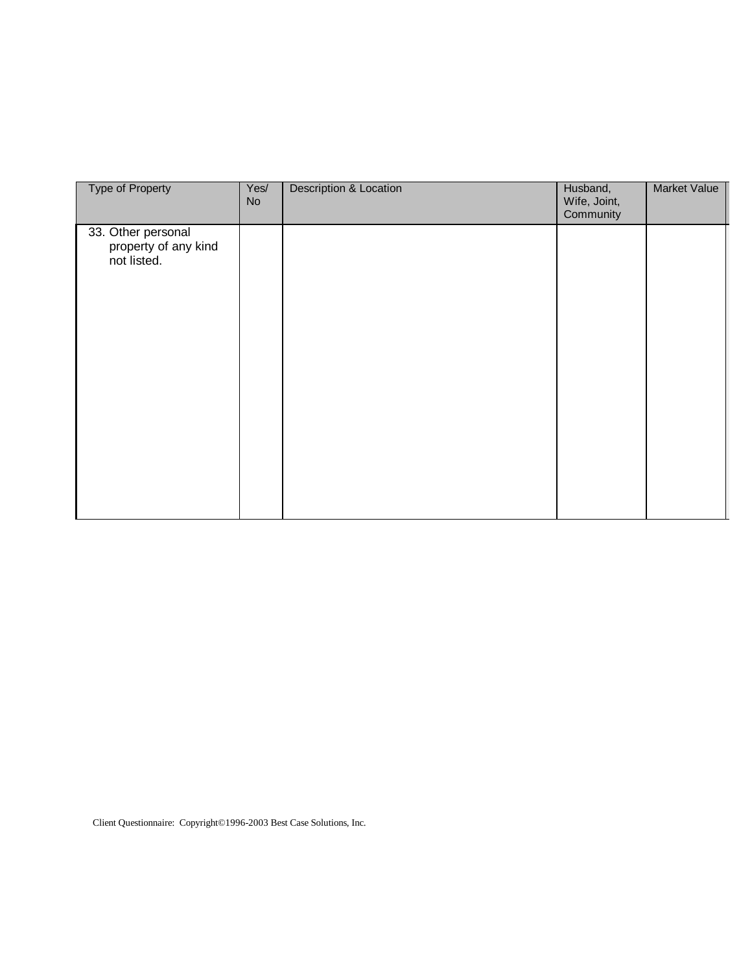| <b>Type of Property</b>                                   | Yes/<br><b>No</b> | <b>Description &amp; Location</b> | Husband,<br>Wife, Joint,<br>Community | Market Value |
|-----------------------------------------------------------|-------------------|-----------------------------------|---------------------------------------|--------------|
| 33. Other personal<br>property of any kind<br>not listed. |                   |                                   |                                       |              |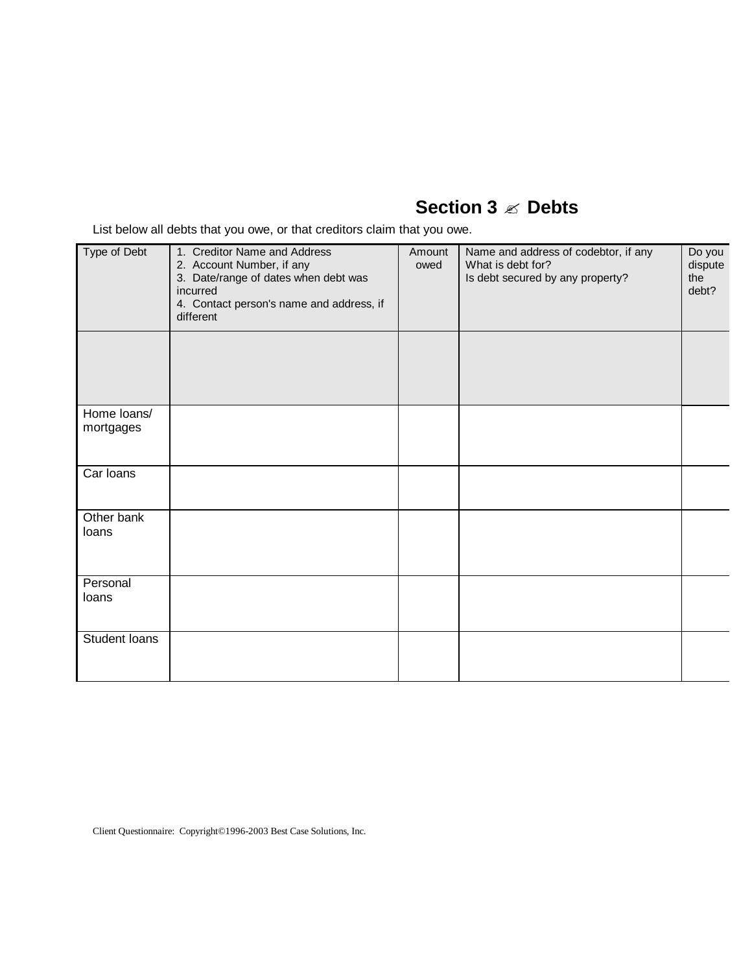# **Section 3 ? Debts**

List below all debts that you owe, or that creditors claim that you owe.

| Type of Debt             | 1. Creditor Name and Address<br>2. Account Number, if any<br>3. Date/range of dates when debt was<br>incurred<br>4. Contact person's name and address, if<br>different | Amount<br>owed | Name and address of codebtor, if any<br>What is debt for?<br>Is debt secured by any property? | Do you<br>dispute<br>the<br>debt? |
|--------------------------|------------------------------------------------------------------------------------------------------------------------------------------------------------------------|----------------|-----------------------------------------------------------------------------------------------|-----------------------------------|
|                          |                                                                                                                                                                        |                |                                                                                               |                                   |
| Home loans/<br>mortgages |                                                                                                                                                                        |                |                                                                                               |                                   |
| Car Ioans                |                                                                                                                                                                        |                |                                                                                               |                                   |
| Other bank<br>loans      |                                                                                                                                                                        |                |                                                                                               |                                   |
| Personal<br>loans        |                                                                                                                                                                        |                |                                                                                               |                                   |
| Student Ioans            |                                                                                                                                                                        |                |                                                                                               |                                   |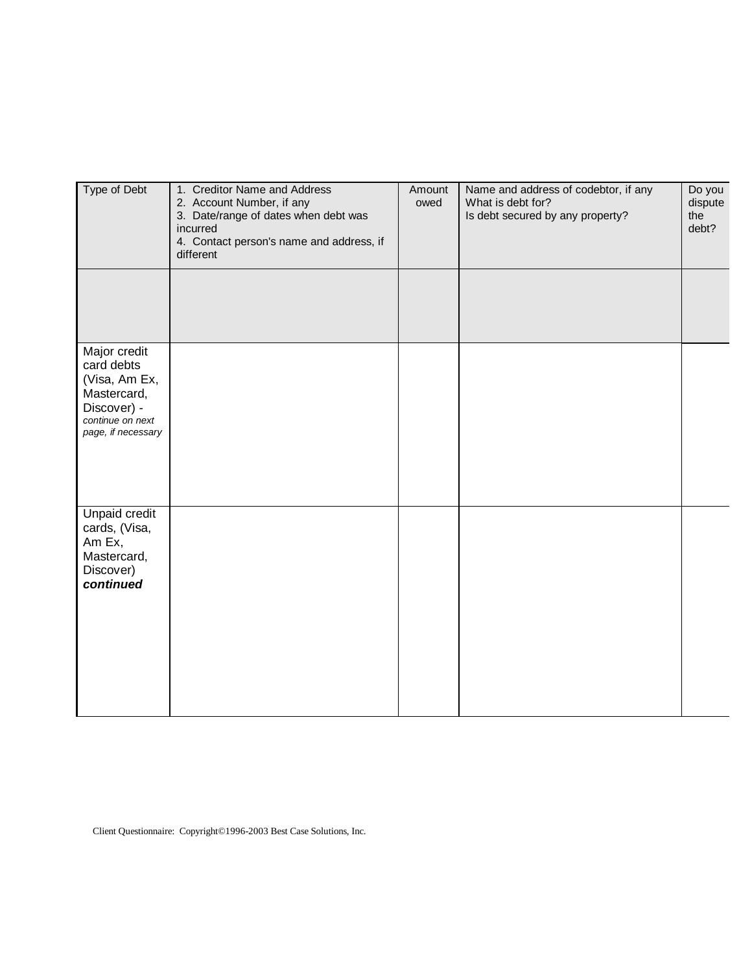| Type of Debt                                                                                                        | 1. Creditor Name and Address<br>2. Account Number, if any<br>3. Date/range of dates when debt was<br>incurred<br>4. Contact person's name and address, if<br>different | Amount<br>owed | Name and address of codebtor, if any<br>What is debt for?<br>Is debt secured by any property? | Do you<br>dispute<br>the<br>debt? |
|---------------------------------------------------------------------------------------------------------------------|------------------------------------------------------------------------------------------------------------------------------------------------------------------------|----------------|-----------------------------------------------------------------------------------------------|-----------------------------------|
|                                                                                                                     |                                                                                                                                                                        |                |                                                                                               |                                   |
| Major credit<br>card debts<br>(Visa, Am Ex,<br>Mastercard,<br>Discover) -<br>continue on next<br>page, if necessary |                                                                                                                                                                        |                |                                                                                               |                                   |
| <b>Unpaid credit</b><br>cards, (Visa,<br>Am Ex,<br>Mastercard,<br>Discover)<br>continued                            |                                                                                                                                                                        |                |                                                                                               |                                   |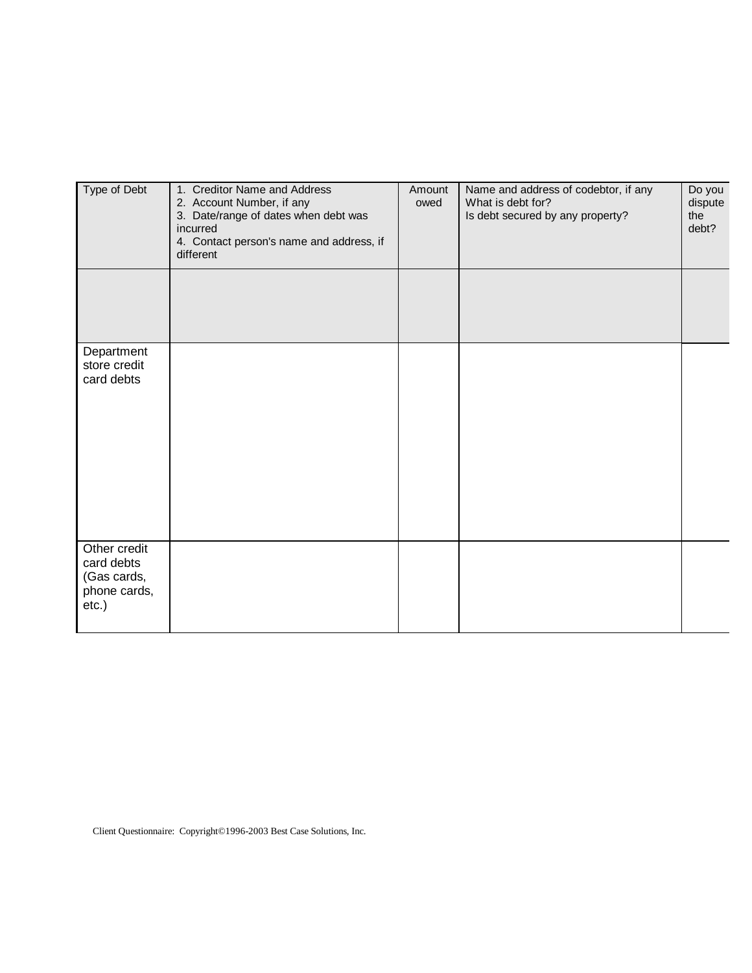| Type of Debt                                                          | 1. Creditor Name and Address<br>2. Account Number, if any<br>3. Date/range of dates when debt was<br>incurred<br>4. Contact person's name and address, if<br>different | Amount<br>owed | Name and address of codebtor, if any<br>What is debt for?<br>Is debt secured by any property? | Do you<br>dispute<br>the<br>debt? |
|-----------------------------------------------------------------------|------------------------------------------------------------------------------------------------------------------------------------------------------------------------|----------------|-----------------------------------------------------------------------------------------------|-----------------------------------|
|                                                                       |                                                                                                                                                                        |                |                                                                                               |                                   |
| Department<br>store credit<br>card debts                              |                                                                                                                                                                        |                |                                                                                               |                                   |
| Other credit<br>card debts<br>(Gas cards,<br>phone cards,<br>$etc.$ ) |                                                                                                                                                                        |                |                                                                                               |                                   |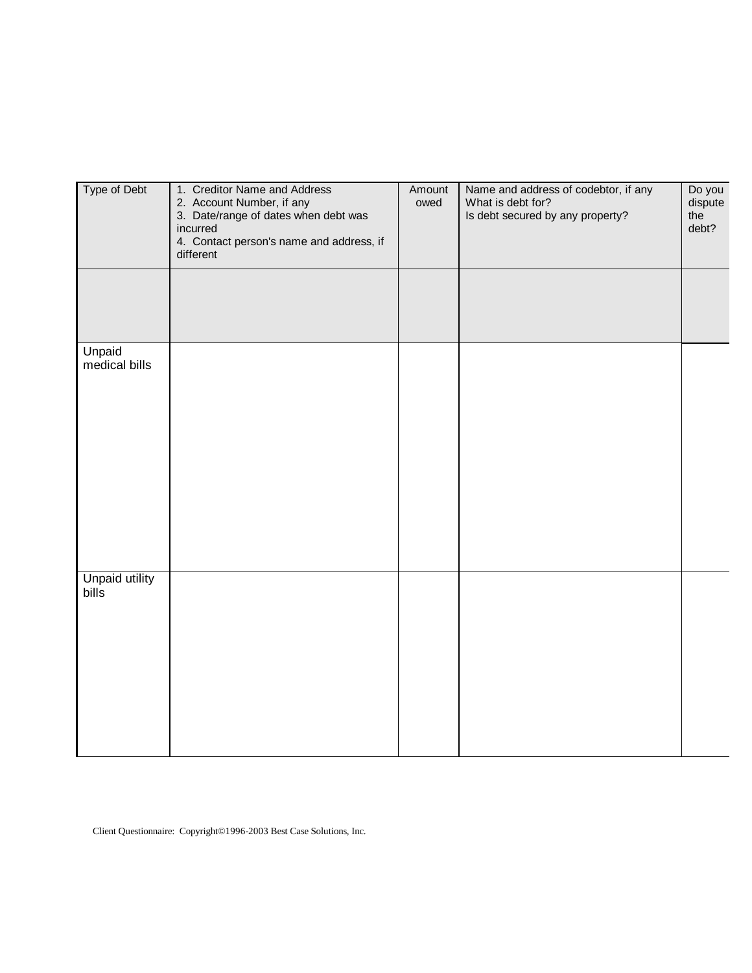| Type of Debt            | 1. Creditor Name and Address<br>2. Account Number, if any<br>3. Date/range of dates when debt was<br>incurred<br>4. Contact person's name and address, if<br>different | Amount<br>owed | Name and address of codebtor, if any<br>What is debt for?<br>Is debt secured by any property? | Do you<br>dispute<br>the<br>debt? |
|-------------------------|------------------------------------------------------------------------------------------------------------------------------------------------------------------------|----------------|-----------------------------------------------------------------------------------------------|-----------------------------------|
|                         |                                                                                                                                                                        |                |                                                                                               |                                   |
| Unpaid<br>medical bills |                                                                                                                                                                        |                |                                                                                               |                                   |
| Unpaid utility<br>bills |                                                                                                                                                                        |                |                                                                                               |                                   |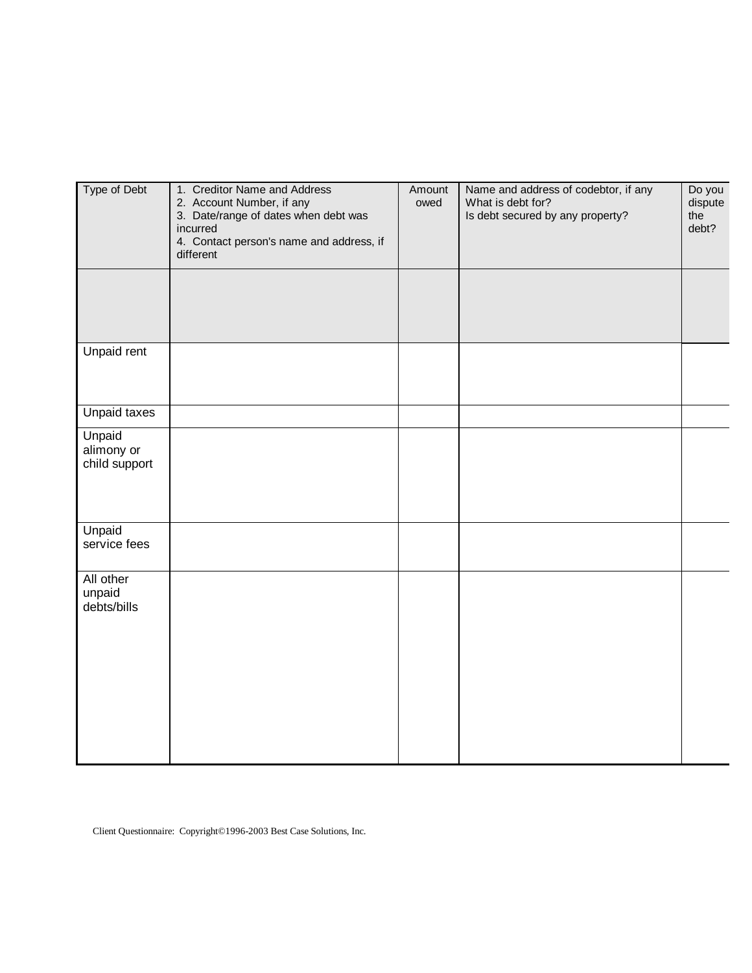| Type of Debt                          | 1. Creditor Name and Address<br>2. Account Number, if any<br>3. Date/range of dates when debt was<br>incurred<br>4. Contact person's name and address, if<br>different | Amount<br>owed | Name and address of codebtor, if any<br>What is debt for?<br>Is debt secured by any property? | Do you<br>dispute<br>the<br>debt? |
|---------------------------------------|------------------------------------------------------------------------------------------------------------------------------------------------------------------------|----------------|-----------------------------------------------------------------------------------------------|-----------------------------------|
|                                       |                                                                                                                                                                        |                |                                                                                               |                                   |
| Unpaid rent                           |                                                                                                                                                                        |                |                                                                                               |                                   |
| <b>Unpaid taxes</b>                   |                                                                                                                                                                        |                |                                                                                               |                                   |
| Unpaid<br>alimony or<br>child support |                                                                                                                                                                        |                |                                                                                               |                                   |
| Unpaid<br>service fees                |                                                                                                                                                                        |                |                                                                                               |                                   |
| All other<br>unpaid<br>debts/bills    |                                                                                                                                                                        |                |                                                                                               |                                   |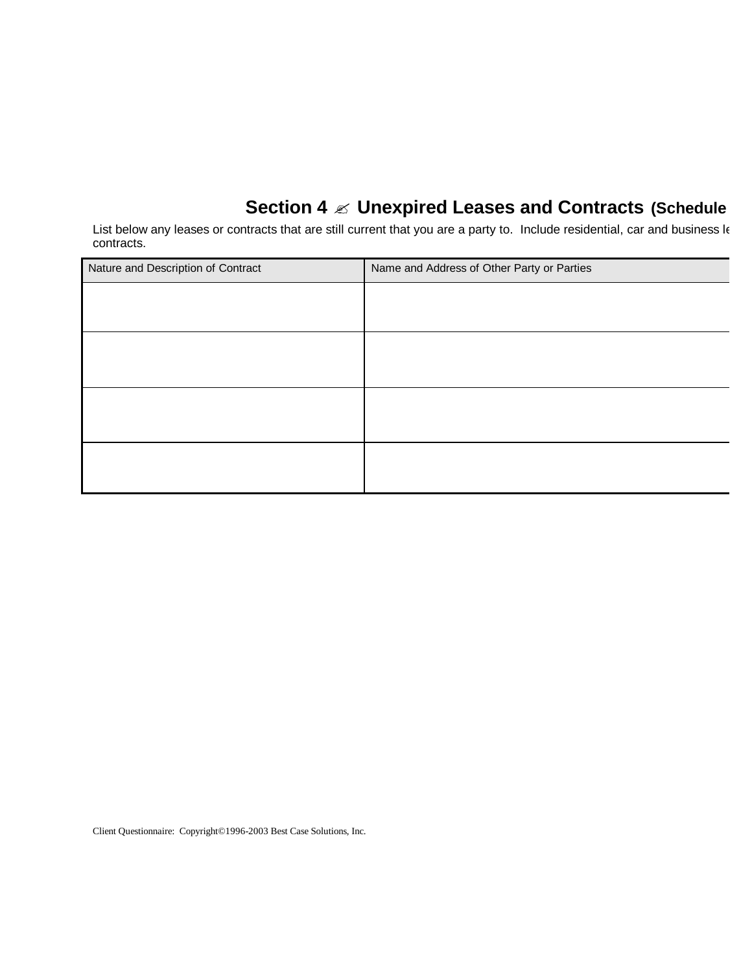# **Section 4**  $\ll$  **Unexpired Leases and Contracts (Schedule**

List below any leases or contracts that are still current that you are a party to. Include residential, car and business le contracts.

| Nature and Description of Contract | Name and Address of Other Party or Parties |
|------------------------------------|--------------------------------------------|
|                                    |                                            |
|                                    |                                            |
|                                    |                                            |
|                                    |                                            |
|                                    |                                            |
|                                    |                                            |
|                                    |                                            |
|                                    |                                            |
|                                    |                                            |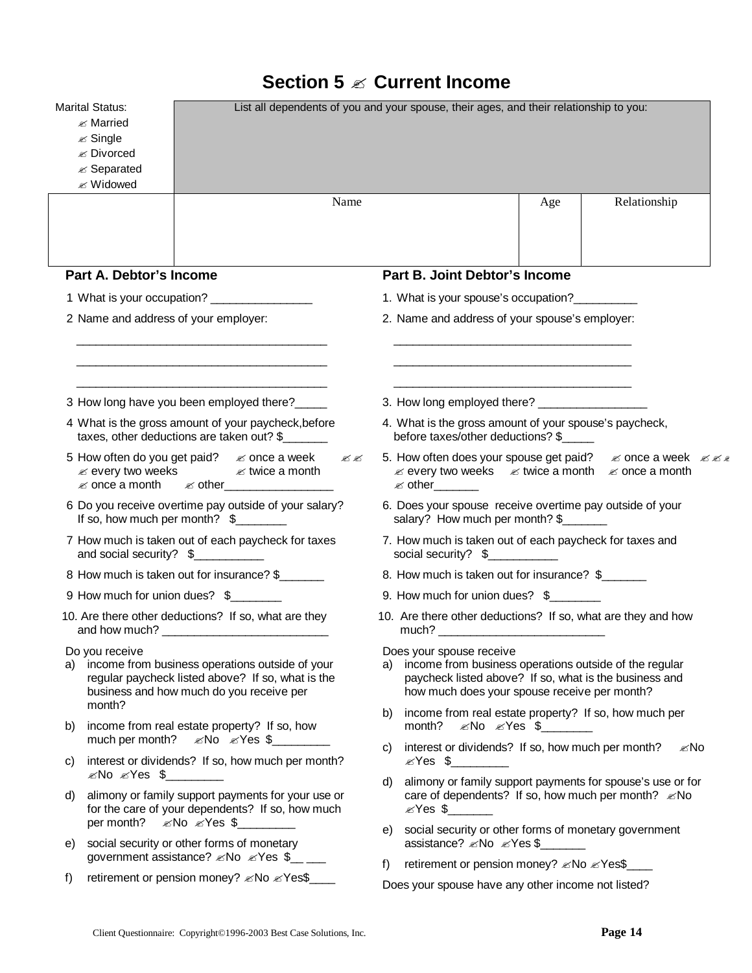|  |  |  | Section 5 $\mathbb Z$ Current Income |  |
|--|--|--|--------------------------------------|--|
|--|--|--|--------------------------------------|--|

|    | <b>Marital Status:</b><br>$\mathscr{\mathscr{A}}$ Married<br>$\mathscr{\mathscr{E}}$ Single<br><b><i>i</i></b> Divorced<br>$\mathscr{A}$ Separated<br><b>E</b> Widowed                                                                                                                | List all dependents of you and your spouse, their ages, and their relationship to you:                                                                                                             |
|----|---------------------------------------------------------------------------------------------------------------------------------------------------------------------------------------------------------------------------------------------------------------------------------------|----------------------------------------------------------------------------------------------------------------------------------------------------------------------------------------------------|
|    | Name                                                                                                                                                                                                                                                                                  | Relationship<br>Age                                                                                                                                                                                |
|    | <b>Part A. Debtor's Income</b>                                                                                                                                                                                                                                                        | Part B. Joint Debtor's Income                                                                                                                                                                      |
|    | 1 What is your occupation?                                                                                                                                                                                                                                                            | 1. What is your spouse's occupation?                                                                                                                                                               |
|    | 2 Name and address of your employer:                                                                                                                                                                                                                                                  | 2. Name and address of your spouse's employer:                                                                                                                                                     |
|    | 3 How long have you been employed there?_____                                                                                                                                                                                                                                         | <u> 1989 - Johann John Stone, mars eta bat eta bat eta bat eta bat eta bat eta bat eta bat eta bat eta bat eta b</u>                                                                               |
|    | 4 What is the gross amount of your paycheck, before<br>taxes, other deductions are taken out? \$                                                                                                                                                                                      | 4. What is the gross amount of your spouse's paycheck,<br>before taxes/other deductions? \$                                                                                                        |
|    | 5 How often do you get paid? $\&$ once a week<br>B.<br>$\mathscr{\mathscr{A}}$ every two weeks $\mathscr{\mathscr{A}}$ twice a month<br><b>Ex once a month</b> Ex other <u>Executive Contract</u>                                                                                     | $\mathscr{L}$ every two weeks $\mathscr{L}$ twice a month $\mathscr{L}$ once a month                                                                                                               |
|    | 6 Do you receive overtime pay outside of your salary?<br>If so, how much per month? $\frac{1}{2}$                                                                                                                                                                                     | 6. Does your spouse receive overtime pay outside of your<br>salary? How much per month? \$                                                                                                         |
|    | 7 How much is taken out of each paycheck for taxes<br>and social security? \$                                                                                                                                                                                                         | 7. How much is taken out of each paycheck for taxes and                                                                                                                                            |
|    | 8 How much is taken out for insurance? \$                                                                                                                                                                                                                                             | 8. How much is taken out for insurance? \$                                                                                                                                                         |
|    | 9 How much for union dues? \$                                                                                                                                                                                                                                                         | 9. How much for union dues? \$                                                                                                                                                                     |
|    | 10. Are there other deductions? If so, what are they<br>and how much? The contract of the contract of the contract of the contract of the contract of the contract of the contract of the contract of the contract of the contract of the contract of the contract of the contract of | 10. Are there other deductions? If so, what are they and how                                                                                                                                       |
| a) | Do you receive<br>income from business operations outside of your<br>regular paycheck listed above? If so, what is the<br>business and how much do you receive per                                                                                                                    | Does your spouse receive<br>income from business operations outside of the regular<br>a)<br>paycheck listed above? If so, what is the business and<br>how much does your spouse receive per month? |
| b) | month?<br>income from real estate property? If so, how                                                                                                                                                                                                                                | income from real estate property? If so, how much per<br>b)                                                                                                                                        |
| C) | interest or dividends? If so, how much per month?                                                                                                                                                                                                                                     | interest or dividends? If so, how much per month?<br>l <i></i> ⊠<br>C)<br>⊗Yes \$                                                                                                                  |
| d) | ⊗No ⊗Yes \$∠<br>alimony or family support payments for your use or<br>for the care of your dependents? If so, how much                                                                                                                                                                | alimony or family support payments for spouse's use or for<br>d)                                                                                                                                   |
| e) | social security or other forms of monetary<br>government assistance? <i>≤</i> No <i>≤</i> Yes \$___                                                                                                                                                                                   | social security or other forms of monetary government<br>e)<br>assistance? <i>≤</i> No <i>≤</i> Yes \$                                                                                             |
| f) | retirement or pension money? <i>«</i> No <i>«</i> Yes\$                                                                                                                                                                                                                               | retirement or pension money? <i>≤</i> No <i>≤</i> Yes\$<br>f)                                                                                                                                      |
|    |                                                                                                                                                                                                                                                                                       | Does your spouse have any other income not listed?                                                                                                                                                 |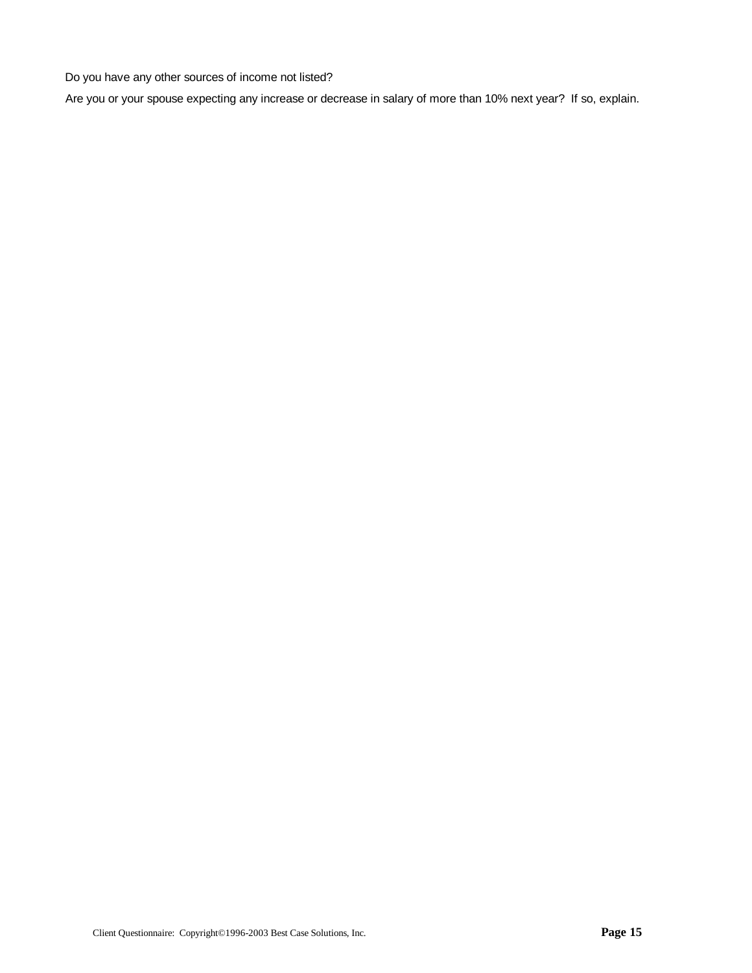Do you have any other sources of income not listed?

Are you or your spouse expecting any increase or decrease in salary of more than 10% next year? If so, explain.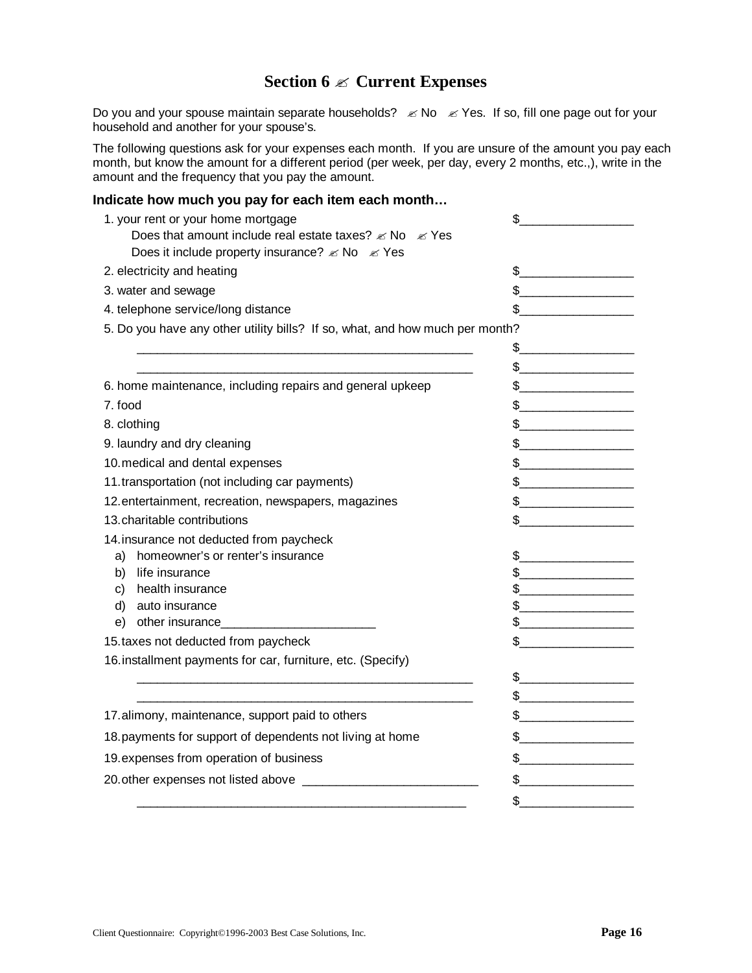### **Section 6 ? Current Expenses**

Do you and your spouse maintain separate households?  $\ll$  No  $\ll$  Yes. If so, fill one page out for your household and another for your spouse's.

The following questions ask for your expenses each month. If you are unsure of the amount you pay each month, but know the amount for a different period (per week, per day, every 2 months, etc.,), write in the amount and the frequency that you pay the amount.

#### **Indicate how much you pay for each item each month…**

| 1. your rent or your home mortgage<br>Does that amount include real estate taxes? $\mathscr{\mathscr{E}}$ No $\mathscr{\mathscr{E}}$ Yes<br>Does it include property insurance? $\mathcal{Z}$ No $\mathcal{Z}$ Yes | \$                                                                                                                                                                                                                                                                                                                                                  |
|--------------------------------------------------------------------------------------------------------------------------------------------------------------------------------------------------------------------|-----------------------------------------------------------------------------------------------------------------------------------------------------------------------------------------------------------------------------------------------------------------------------------------------------------------------------------------------------|
| 2. electricity and heating                                                                                                                                                                                         | $\frac{1}{2}$                                                                                                                                                                                                                                                                                                                                       |
| 3. water and sewage                                                                                                                                                                                                | $\frac{1}{2}$                                                                                                                                                                                                                                                                                                                                       |
| 4. telephone service/long distance                                                                                                                                                                                 | $\frac{1}{2}$                                                                                                                                                                                                                                                                                                                                       |
| 5. Do you have any other utility bills? If so, what, and how much per month?                                                                                                                                       |                                                                                                                                                                                                                                                                                                                                                     |
|                                                                                                                                                                                                                    |                                                                                                                                                                                                                                                                                                                                                     |
|                                                                                                                                                                                                                    | $\frac{1}{2}$ $\frac{1}{2}$ $\frac{1}{2}$ $\frac{1}{2}$ $\frac{1}{2}$ $\frac{1}{2}$ $\frac{1}{2}$ $\frac{1}{2}$ $\frac{1}{2}$ $\frac{1}{2}$ $\frac{1}{2}$ $\frac{1}{2}$ $\frac{1}{2}$ $\frac{1}{2}$ $\frac{1}{2}$ $\frac{1}{2}$ $\frac{1}{2}$ $\frac{1}{2}$ $\frac{1}{2}$ $\frac{1}{2}$ $\frac{1}{2}$ $\frac{1}{2}$                                 |
| 6. home maintenance, including repairs and general upkeep                                                                                                                                                          | $\frac{1}{2}$                                                                                                                                                                                                                                                                                                                                       |
| 7. food                                                                                                                                                                                                            | $\frac{1}{2}$                                                                                                                                                                                                                                                                                                                                       |
| 8. clothing                                                                                                                                                                                                        | $\frac{1}{2}$                                                                                                                                                                                                                                                                                                                                       |
| 9. laundry and dry cleaning                                                                                                                                                                                        | $\frac{1}{2}$                                                                                                                                                                                                                                                                                                                                       |
| 10. medical and dental expenses                                                                                                                                                                                    | $\frac{1}{2}$                                                                                                                                                                                                                                                                                                                                       |
| 11.transportation (not including car payments)                                                                                                                                                                     | $\frac{1}{2}$                                                                                                                                                                                                                                                                                                                                       |
| 12. entertainment, recreation, newspapers, magazines                                                                                                                                                               | $\frac{1}{2}$                                                                                                                                                                                                                                                                                                                                       |
| 13. charitable contributions                                                                                                                                                                                       | $\frac{1}{2}$                                                                                                                                                                                                                                                                                                                                       |
| 14. insurance not deducted from paycheck                                                                                                                                                                           |                                                                                                                                                                                                                                                                                                                                                     |
| homeowner's or renter's insurance<br>a)                                                                                                                                                                            | $\frac{1}{2}$                                                                                                                                                                                                                                                                                                                                       |
| b)<br>life insurance                                                                                                                                                                                               | $\frac{1}{2}$                                                                                                                                                                                                                                                                                                                                       |
| health insurance<br>c)                                                                                                                                                                                             | $\frac{1}{2}$                                                                                                                                                                                                                                                                                                                                       |
| auto insurance<br>d)                                                                                                                                                                                               | $\frac{1}{2}$                                                                                                                                                                                                                                                                                                                                       |
|                                                                                                                                                                                                                    | $\frac{1}{2}$                                                                                                                                                                                                                                                                                                                                       |
| 15. taxes not deducted from paycheck                                                                                                                                                                               | \$<br><u> 1989 - Johann Barn, fransk politik (d. 1989)</u>                                                                                                                                                                                                                                                                                          |
| 16. installment payments for car, furniture, etc. (Specify)                                                                                                                                                        | $\begin{picture}(20,10) \put(0,0){\line(1,0){10}} \put(15,0){\line(1,0){10}} \put(15,0){\line(1,0){10}} \put(15,0){\line(1,0){10}} \put(15,0){\line(1,0){10}} \put(15,0){\line(1,0){10}} \put(15,0){\line(1,0){10}} \put(15,0){\line(1,0){10}} \put(15,0){\line(1,0){10}} \put(15,0){\line(1,0){10}} \put(15,0){\line(1,0){10}} \put(15,0){\line(1$ |
|                                                                                                                                                                                                                    | $\frac{1}{2}$                                                                                                                                                                                                                                                                                                                                       |
| 17.alimony, maintenance, support paid to others                                                                                                                                                                    | $\frac{1}{2}$                                                                                                                                                                                                                                                                                                                                       |
| 18. payments for support of dependents not living at home                                                                                                                                                          | $\frac{1}{2}$                                                                                                                                                                                                                                                                                                                                       |
| 19. expenses from operation of business                                                                                                                                                                            | $$$ $$$                                                                                                                                                                                                                                                                                                                                             |
|                                                                                                                                                                                                                    | $\frac{1}{2}$                                                                                                                                                                                                                                                                                                                                       |
|                                                                                                                                                                                                                    | \$                                                                                                                                                                                                                                                                                                                                                  |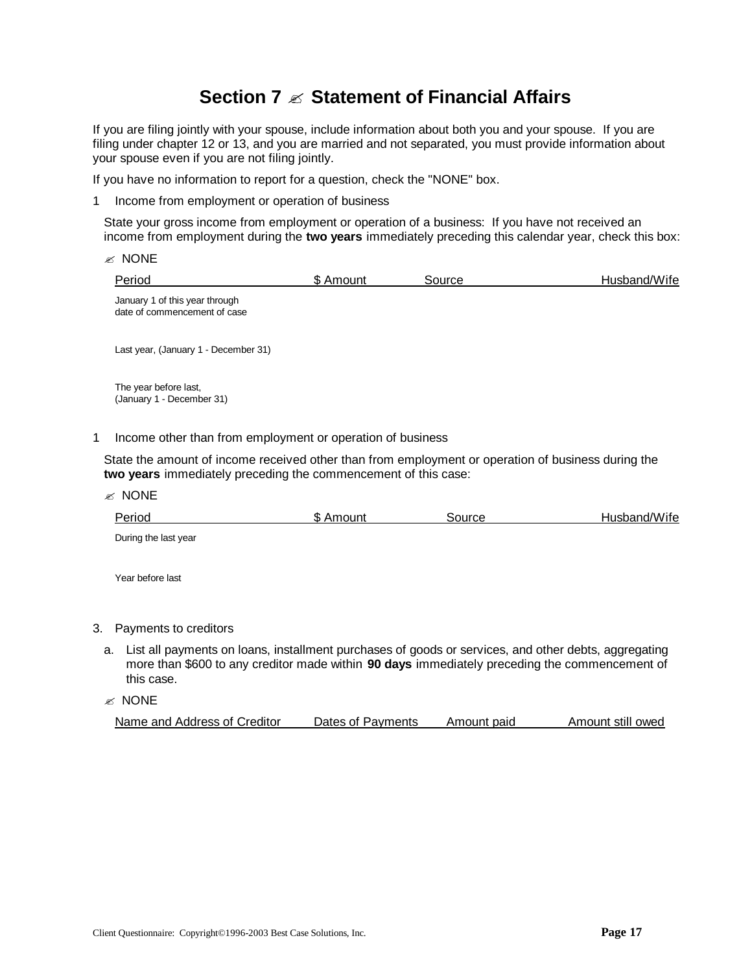## **Section 7 ? Statement of Financial Affairs**

If you are filing jointly with your spouse, include information about both you and your spouse. If you are filing under chapter 12 or 13, and you are married and not separated, you must provide information about your spouse even if you are not filing jointly.

If you have no information to report for a question, check the "NONE" box.

1 Income from employment or operation of business

State your gross income from employment or operation of a business: If you have not received an income from employment during the **two years** immediately preceding this calendar year, check this box:

- $\mathscr{\mathscr{E}}$  NONE Period **6 Amount 5 Amount** Source **Source Husband/Wife** January 1 of this year through date of commencement of case Last year, (January 1 - December 31) The year before last, (January 1 - December 31) 1 Income other than from employment or operation of business State the amount of income received other than from employment or operation of business during the **two years** immediately preceding the commencement of this case:
	- $\mathscr{\mathscr{E}}$  NONE Period **6 Amount 1999** SAmount 1999 Source **Husband/Wife** During the last year Year before last

#### 3. Payments to creditors

a. List all payments on loans, installment purchases of goods or services, and other debts, aggregating more than \$600 to any creditor made within **90 days** immediately preceding the commencement of this case.

 $\mathscr{\mathscr{E}}$  NONE

| Name and Address of Creditor | Dates of Payments | Amount paid | Amount still owed |
|------------------------------|-------------------|-------------|-------------------|
|------------------------------|-------------------|-------------|-------------------|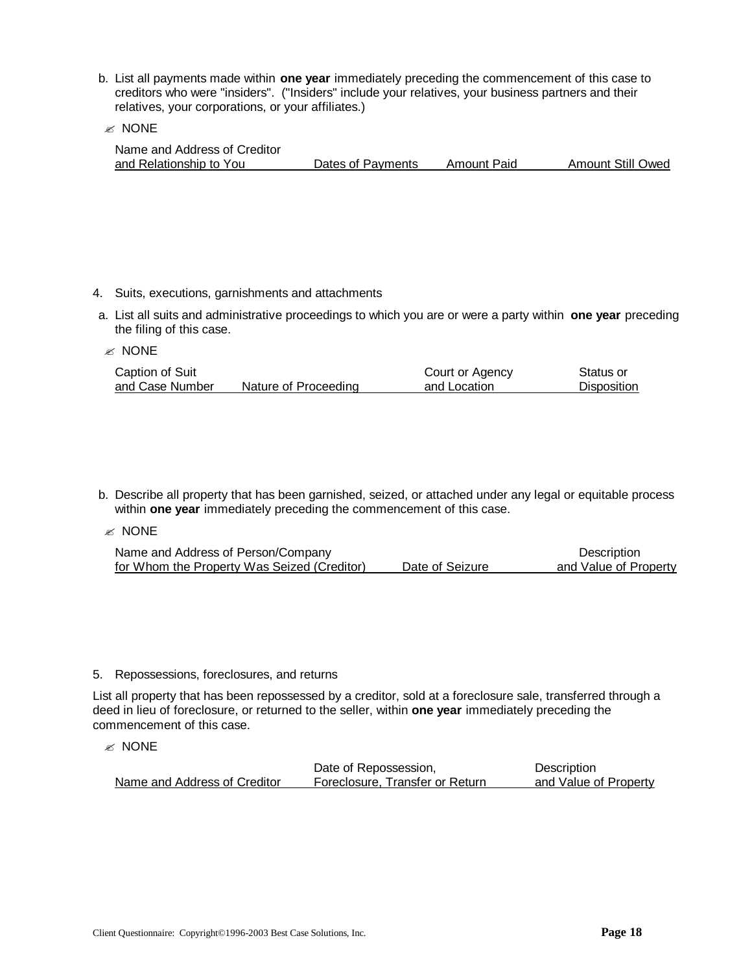- b. List all payments made within **one year** immediately preceding the commencement of this case to creditors who were "insiders". ("Insiders" include your relatives, your business partners and their relatives, your corporations, or your affiliates.)
- $\mathscr{\mathscr{E}}$  NONE

| Name and Address of Creditor |                   |             |                          |
|------------------------------|-------------------|-------------|--------------------------|
| and Relationship to You      | Dates of Payments | Amount Paid | <b>Amount Still Owed</b> |

- 4. Suits, executions, garnishments and attachments
- a. List all suits and administrative proceedings to which you are or were a party within **one year** preceding the filing of this case.

#### $\mathcal Z$  NONE

| Caption of Suit |                      | Court or Agency | Status or          |
|-----------------|----------------------|-----------------|--------------------|
| and Case Number | Nature of Proceeding | and Location    | <b>Disposition</b> |

b. Describe all property that has been garnished, seized, or attached under any legal or equitable process within **one year** immediately preceding the commencement of this case.

 $\mathscr{\mathscr{E}}$  NONE

| Name and Address of Person/Company          |                 | Description           |
|---------------------------------------------|-----------------|-----------------------|
| for Whom the Property Was Seized (Creditor) | Date of Seizure | and Value of Property |

#### 5. Repossessions, foreclosures, and returns

List all property that has been repossessed by a creditor, sold at a foreclosure sale, transferred through a deed in lieu of foreclosure, or returned to the seller, within **one year** immediately preceding the commencement of this case.

#### $\mathscr{\mathscr{E}}$  NONE

|                              | Date of Repossession,           | Description           |
|------------------------------|---------------------------------|-----------------------|
| Name and Address of Creditor | Foreclosure. Transfer or Return | and Value of Property |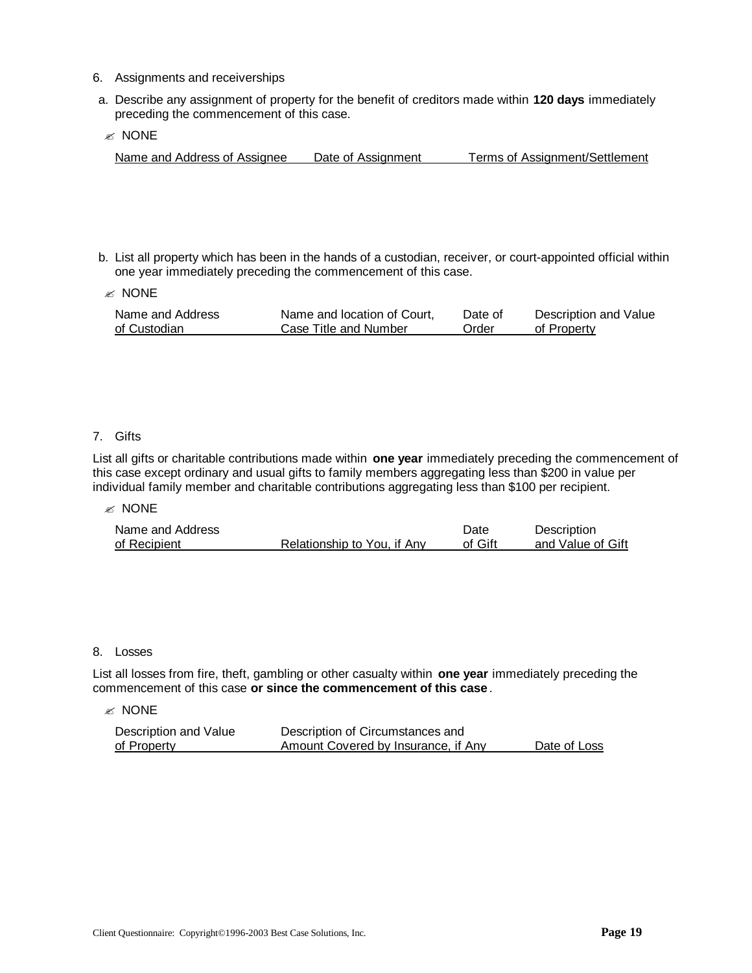- 6. Assignments and receiverships
- a. Describe any assignment of property for the benefit of creditors made within **120 days** immediately preceding the commencement of this case.
- $\mathscr{\mathscr{A}}$  NONE

Name and Address of Assignee Date of Assignment Terms of Assignment/Settlement

b. List all property which has been in the hands of a custodian, receiver, or court-appointed official within one year immediately preceding the commencement of this case.

 $\approx$  NONE

| Name and Address | Name and location of Court, | Date of | Description and Value |
|------------------|-----------------------------|---------|-----------------------|
| of Custodian     | Case Title and Number       | Order   | of Property           |

#### 7. Gifts

List all gifts or charitable contributions made within **one year** immediately preceding the commencement of this case except ordinary and usual gifts to family members aggregating less than \$200 in value per individual family member and charitable contributions aggregating less than \$100 per recipient.

#### $\mathscr{L}$  NONE

| Name and Address |                             | Date    | Description       |
|------------------|-----------------------------|---------|-------------------|
| of Recipient     | Relationship to You, if Any | of Gift | and Value of Gift |

#### 8. Losses

List all losses from fire, theft, gambling or other casualty within **one year** immediately preceding the commencement of this case **or since the commencement of this case**.

#### $\mathscr{\mathscr{C}}$  NONE

| Description and Value | Description of Circumstances and    |              |
|-----------------------|-------------------------------------|--------------|
| of Property           | Amount Covered by Insurance, if Any | Date of Loss |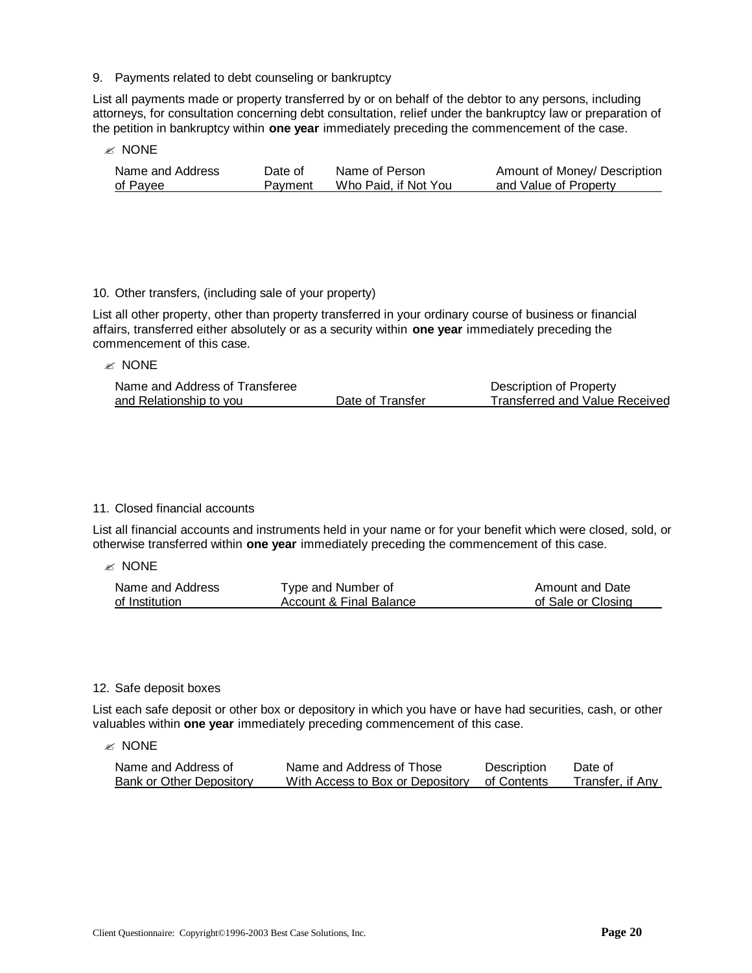9. Payments related to debt counseling or bankruptcy

List all payments made or property transferred by or on behalf of the debtor to any persons, including attorneys, for consultation concerning debt consultation, relief under the bankruptcy law or preparation of the petition in bankruptcy within **one year** immediately preceding the commencement of the case.

 $\mathscr{\mathscr{C}}$  NONE

| Name and Address | Date of | Name of Person       | Amount of Money/ Description |
|------------------|---------|----------------------|------------------------------|
| of Payee         | Pavment | Who Paid, if Not You | and Value of Property        |

#### 10. Other transfers, (including sale of your property)

List all other property, other than property transferred in your ordinary course of business or financial affairs, transferred either absolutely or as a security within **one year** immediately preceding the commencement of this case.

 $\mathscr{\mathscr{E}}$  NONE

| Name and Address of Transferee |                  | Description of Property               |
|--------------------------------|------------------|---------------------------------------|
| and Relationship to you        | Date of Transfer | <b>Transferred and Value Received</b> |

#### 11. Closed financial accounts

List all financial accounts and instruments held in your name or for your benefit which were closed, sold, or otherwise transferred within **one year** immediately preceding the commencement of this case.

 $\mathscr{\mathscr{A}}$  NONE

| Name and Address | Type and Number of      | Amount and Date    |
|------------------|-------------------------|--------------------|
| of Institution   | Account & Final Balance | of Sale or Closing |

#### 12. Safe deposit boxes

List each safe deposit or other box or depository in which you have or have had securities, cash, or other valuables within **one year** immediately preceding commencement of this case.

 $\mathscr{\mathscr{A}}$  NONE

| Name and Address of      | Name and Address of Those                    | <b>Description</b> | Date of          |
|--------------------------|----------------------------------------------|--------------------|------------------|
| Bank or Other Depository | With Access to Box or Depository of Contents |                    | Transfer, if Anv |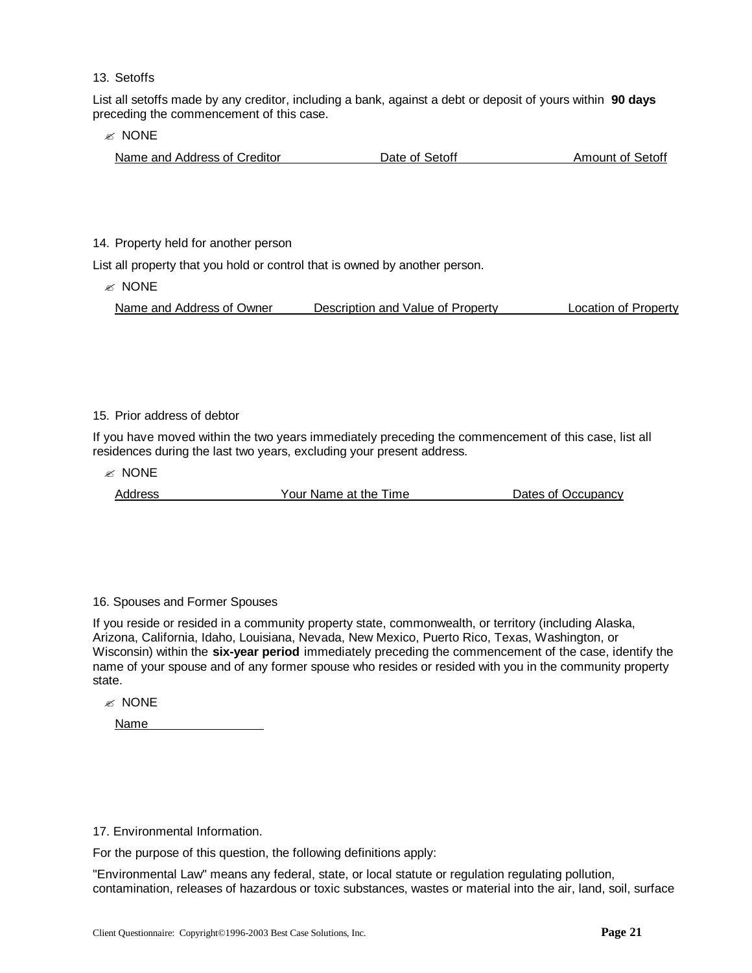13. Setoffs

List all setoffs made by any creditor, including a bank, against a debt or deposit of yours within **90 days** preceding the commencement of this case.

 $\mathscr{\mathscr{E}}$  NONE

| Name and Address of Creditor | Date of Setoff | Amount of Setoff |
|------------------------------|----------------|------------------|
|                              |                |                  |

#### 14. Property held for another person

List all property that you hold or control that is owned by another person.

 $\mathscr{\mathscr{E}}$  NONE

Name and Address of Owner Description and Value of Property Location of Property

#### 15. Prior address of debtor

If you have moved within the two years immediately preceding the commencement of this case, list all residences during the last two years, excluding your present address.

 $\mathscr{\mathscr{E}}$  NONE

Address The Time Address The Time Address Cocupancy

#### 16. Spouses and Former Spouses

If you reside or resided in a community property state, commonwealth, or territory (including Alaska, Arizona, California, Idaho, Louisiana, Nevada, New Mexico, Puerto Rico, Texas, Washington, or Wisconsin) within the **six-year period** immediately preceding the commencement of the case, identify the name of your spouse and of any former spouse who resides or resided with you in the community property state.

 $\mathscr{\mathscr{E}}$  NONE

Name

17. Environmental Information.

For the purpose of this question, the following definitions apply:

"Environmental Law" means any federal, state, or local statute or regulation regulating pollution, contamination, releases of hazardous or toxic substances, wastes or material into the air, land, soil, surface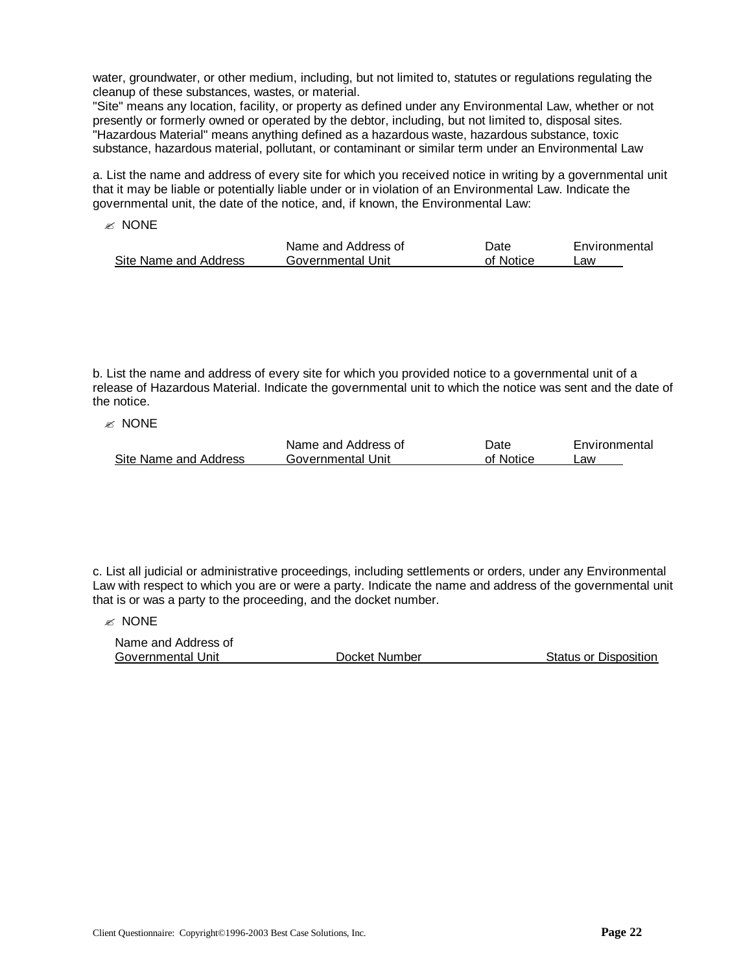water, groundwater, or other medium, including, but not limited to, statutes or regulations regulating the cleanup of these substances, wastes, or material.

"Site" means any location, facility, or property as defined under any Environmental Law, whether or not presently or formerly owned or operated by the debtor, including, but not limited to, disposal sites. "Hazardous Material" means anything defined as a hazardous waste, hazardous substance, toxic substance, hazardous material, pollutant, or contaminant or similar term under an Environmental Law

a. List the name and address of every site for which you received notice in writing by a governmental unit that it may be liable or potentially liable under or in violation of an Environmental Law. Indicate the governmental unit, the date of the notice, and, if known, the Environmental Law:

 $\mathscr{\mathscr{E}}$  NONE

|                       | Name and Address of | Date      | Environmental |
|-----------------------|---------------------|-----------|---------------|
| Site Name and Address | Governmental Unit   | of Notice | _aw           |

b. List the name and address of every site for which you provided notice to a governmental unit of a release of Hazardous Material. Indicate the governmental unit to which the notice was sent and the date of the notice.

 $\mathbb{\mathbb{R}}$  NONE

|                       | Name and Address of | Date      | Environmental |
|-----------------------|---------------------|-----------|---------------|
| Site Name and Address | Governmental Unit   | of Notice | _aw           |

c. List all judicial or administrative proceedings, including settlements or orders, under any Environmental Law with respect to which you are or were a party. Indicate the name and address of the governmental unit that is or was a party to the proceeding, and the docket number.

 $\mathscr{\mathscr{E}}$  NONE

| Name and Address of |               |                       |
|---------------------|---------------|-----------------------|
| Governmental Unit   | Docket Number | Status or Disposition |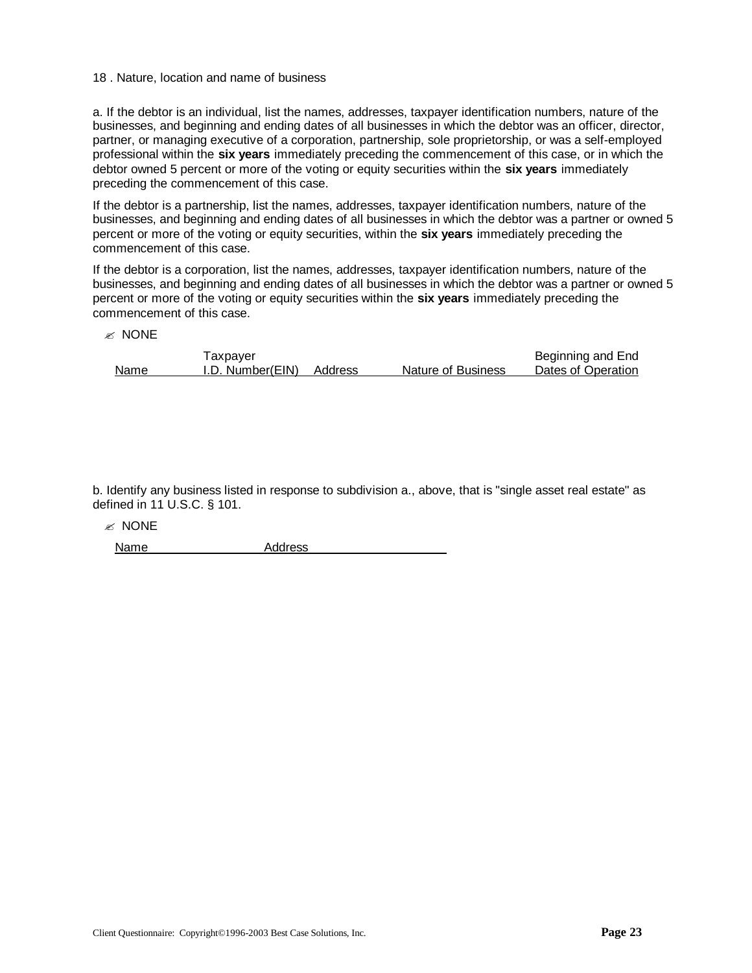#### 18 . Nature, location and name of business

a. If the debtor is an individual, list the names, addresses, taxpayer identification numbers, nature of the businesses, and beginning and ending dates of all businesses in which the debtor was an officer, director, partner, or managing executive of a corporation, partnership, sole proprietorship, or was a self-employed professional within the **six years** immediately preceding the commencement of this case, or in which the debtor owned 5 percent or more of the voting or equity securities within the **six years** immediately preceding the commencement of this case.

If the debtor is a partnership, list the names, addresses, taxpayer identification numbers, nature of the businesses, and beginning and ending dates of all businesses in which the debtor was a partner or owned 5 percent or more of the voting or equity securities, within the **six years** immediately preceding the commencement of this case.

If the debtor is a corporation, list the names, addresses, taxpayer identification numbers, nature of the businesses, and beginning and ending dates of all businesses in which the debtor was a partner or owned 5 percent or more of the voting or equity securities within the **six years** immediately preceding the commencement of this case.

 $\mathscr{\mathscr{C}}$  NONE

|      | axpayer          |         |                           | Beginning and End  |
|------|------------------|---------|---------------------------|--------------------|
| Name | I.D. Number(EIN) | Address | <b>Nature of Business</b> | Dates of Operation |

b. Identify any business listed in response to subdivision a., above, that is "single asset real estate" as defined in 11 U.S.C. § 101.

 $\mathscr{\mathscr{E}}$  NONE

Name Address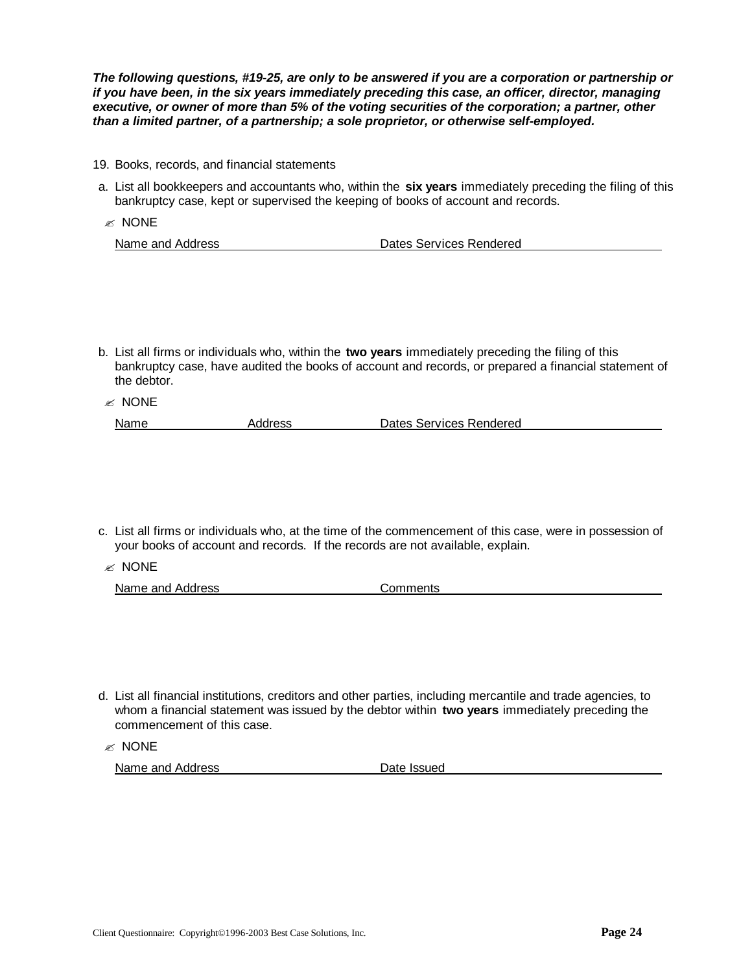*The following questions, #19-25, are only to be answered if you are a corporation or partnership or if you have been, in the six years immediately preceding this case, an officer, director, managing executive, or owner of more than 5% of the voting securities of the corporation; a partner, other than a limited partner, of a partnership; a sole proprietor, or otherwise self-employed.*

- 19. Books, records, and financial statements
- a. List all bookkeepers and accountants who, within the **six years** immediately preceding the filing of this bankruptcy case, kept or supervised the keeping of books of account and records.
- $\mathscr{\mathscr{E}}$  NONE

| Name and Address | Dates Services Rendered |
|------------------|-------------------------|
|                  |                         |

- b. List all firms or individuals who, within the **two years** immediately preceding the filing of this bankruptcy case, have audited the books of account and records, or prepared a financial statement of the debtor.
- $\mathscr{\mathscr{E}}$  NONE Name **Address** Address **Dates Services Rendered**
- c. List all firms or individuals who, at the time of the commencement of this case, were in possession of your books of account and records. If the records are not available, explain.
- $\mathscr{\mathscr{E}}$  NONE

|  | Name and Address | Comments |
|--|------------------|----------|
|--|------------------|----------|

d. List all financial institutions, creditors and other parties, including mercantile and trade agencies, to whom a financial statement was issued by the debtor within **two years** immediately preceding the commencement of this case.

 $\mathscr{\mathscr{C}}$  NONE

Name and Address Date Issued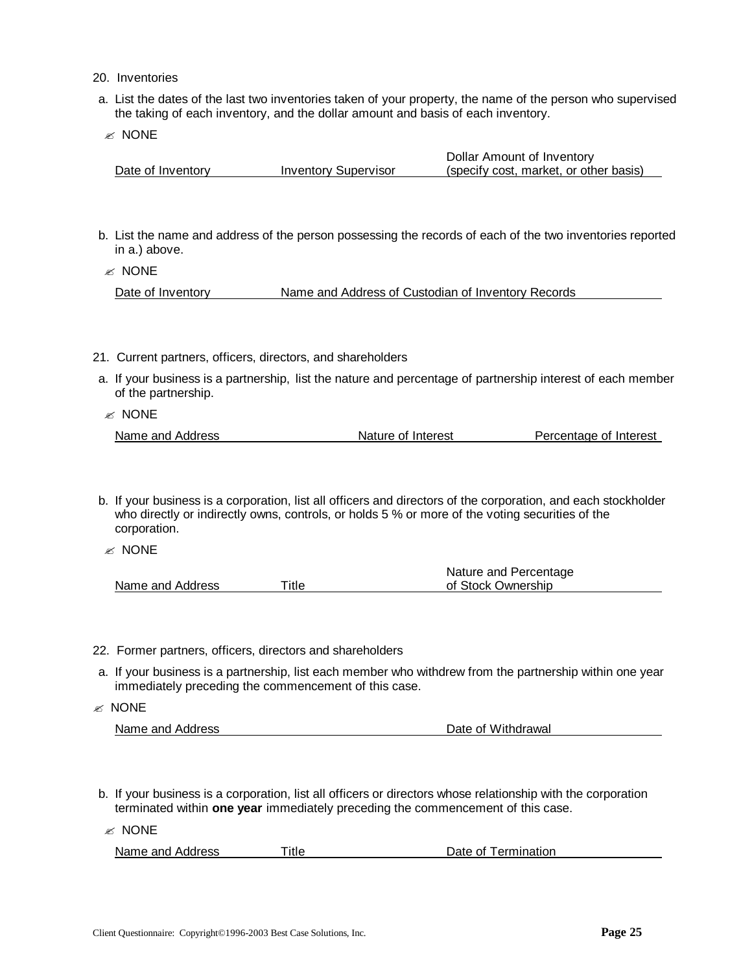- 20. Inventories
- a. List the dates of the last two inventories taken of your property, the name of the person who supervised the taking of each inventory, and the dollar amount and basis of each inventory.
- $\mathscr{L}$  NONE

|                   |                             | Dollar Amount of Inventory             |
|-------------------|-----------------------------|----------------------------------------|
| Date of Inventory | <b>Inventory Supervisor</b> | (specify cost, market, or other basis) |

b. List the name and address of the person possessing the records of each of the two inventories reported in a.) above.

 $\mathscr{\mathscr{E}}$  NONE

Date of Inventory **Name and Address of Custodian of Inventory Records** 

- 21. Current partners, officers, directors, and shareholders
- a. If your business is a partnership, list the nature and percentage of partnership interest of each member of the partnership.
- $\mathscr{\mathscr{C}}$  NONE

| Name and Address | Nature of Interest | Percentage of Interest |
|------------------|--------------------|------------------------|
|                  |                    |                        |

- b. If your business is a corporation, list all officers and directors of the corporation, and each stockholder who directly or indirectly owns, controls, or holds 5 % or more of the voting securities of the corporation.
- $\mathscr{\mathscr{E}}$  NONE

|                  |       | Nature and Percentage |
|------------------|-------|-----------------------|
| Name and Address | ™itle | of Stock Ownership    |

- 22. Former partners, officers, directors and shareholders
- a. If your business is a partnership, list each member who withdrew from the partnership within one year immediately preceding the commencement of this case.
- $\mathbb{\mathbb{R}}$  NONE

| Name and Address | Date of Withdrawal |
|------------------|--------------------|
|                  |                    |

- b. If your business is a corporation, list all officers or directors whose relationship with the corporation terminated within **one year** immediately preceding the commencement of this case.
- $\mathscr{A}$  NONE

| Name and Address | Title | Date of Termination |
|------------------|-------|---------------------|
|                  |       |                     |